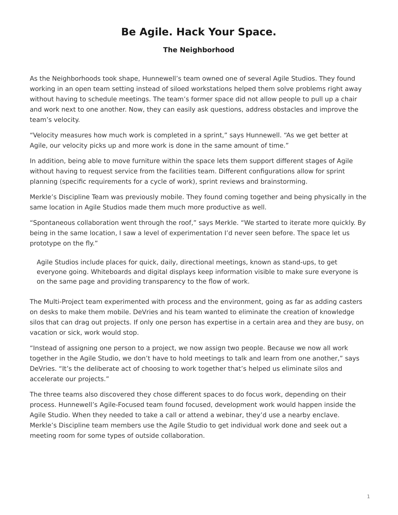## **Be Agile. Hack Your Space.**

## **The Neighborhood**

<span id="page-0-0"></span>As the Neighborhoods took shape, Hunnewell's team owned one of several Agile Studios. They found working in an open team setting instead of siloed workstations helped them solve problems right away without having to schedule meetings. The team's former space did not allow people to pull up a chair and work next to one another. Now, they can easily ask questions, address obstacles and improve the team's velocity.

"Velocity measures how much work is completed in a sprint," says Hunnewell. "As we get better at Agile, our velocity picks up and more work is done in the same amount of time."

In addition, being able to move furniture within the space lets them support different stages of Agile without having to request service from the facilities team. Different configurations allow for sprint planning (specific requirements for a cycle of work), sprint reviews and brainstorming.

Merkle's Discipline Team was previously mobile. They found coming together and being physically in the same location in Agile Studios made them much more productive as well.

"Spontaneous collaboration went through the roof," says Merkle. "We started to iterate more quickly. By being in the same location, I saw a level of experimentation I'd never seen before. The space let us prototype on the fly."

Agile Studios include places for quick, daily, directional meetings, known as stand-ups, to get everyone going. Whiteboards and digital displays keep information visible to make sure everyone is on the same page and providing transparency to the flow of work.

The Multi-Project team experimented with process and the environment, going as far as adding casters on desks to make them mobile. DeVries and his team wanted to eliminate the creation of knowledge silos that can drag out projects. If only one person has expertise in a certain area and they are busy, on vacation or sick, work would stop.

"Instead of assigning one person to a project, we now assign two people. Because we now all work together in the Agile Studio, we don't have to hold meetings to talk and learn from one another," says DeVries. "It's the deliberate act of choosing to work together that's helped us eliminate silos and accelerate our projects."

The three teams also discovered they chose different spaces to do focus work, depending on their process. Hunnewell's Agile-Focused team found focused, development work would happen inside the Agile Studio. When they needed to take a call or attend a webinar, they'd use a nearby enclave. Merkle's Discipline team members use the Agile Studio to get individual work done and seek out a meeting room for some types of outside collaboration.